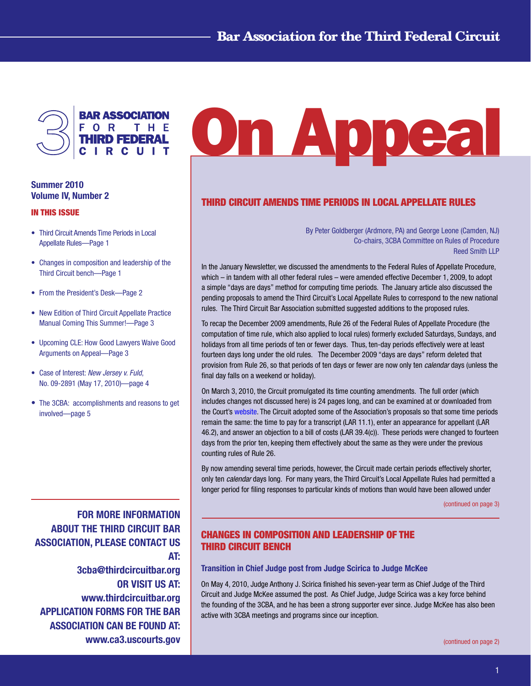

# Summer 2010 Volume IV, Number 2

#### In This Issue

- Third Circuit Amends Time Periods in Local Appellate Rules—Page 1
- Changes in composition and leadership of the Third Circuit bench—Page 1
- From the President's Desk—Page 2
- New Edition of Third Circuit Appellate Practice Manual Coming This Summer!—Page 3
- Upcoming CLE: How Good Lawyers Waive Good Arguments on Appeal—Page 3
- Case of Interest: *New Jersey v. Fuld*, No. 09-2891 (May 17, 2010)—page 4
- The 3CBA: accomplishments and reasons to get involved—page 5

FOR MORE INFORMATION ABOUT THE THIRD CIRCUIT BAR ASSOCIATION, PLEASE CONTACT US AT: 3cba@thirdcircuitbar.org OR VISIT US AT: www.thirdcircuitbar.org APPLICATION FORMS FOR THE BAR ASSOCIATION CAN BE FOUND AT: www.ca3.uscourts.gov

# On Appeal

# Third Circuit Amends Time Periods in Local Appellate Rules

By Peter Goldberger (Ardmore, PA) and George Leone (Camden, NJ) Co-chairs, 3CBA Committee on Rules of Procedure Reed Smith LLP

In the January Newsletter, we discussed the amendments to the Federal Rules of Appellate Procedure, which – in tandem with all other federal rules – were amended effective December 1, 2009, to adopt a simple "days are days" method for computing time periods. The January article also discussed the pending proposals to amend the Third Circuit's Local Appellate Rules to correspond to the new national rules. The Third Circuit Bar Association submitted suggested additions to the proposed rules.

To recap the December 2009 amendments, Rule 26 of the Federal Rules of Appellate Procedure (the computation of time rule, which also applied to local rules) formerly excluded Saturdays, Sundays, and holidays from all time periods of ten or fewer days. Thus, ten-day periods effectively were at least fourteen days long under the old rules. The December 2009 "days are days" reform deleted that provision from Rule 26, so that periods of ten days or fewer are now only ten *calendar* days (unless the final day falls on a weekend or holiday).

On March 3, 2010, the Circuit promulgated its time counting amendments. The full order (which includes changes not discussed here) is 24 pages long, and can be examined at or downloaded from the Court's [website](http://www.ca3.uscourts.gov/). The Circuit adopted some of the Association's proposals so that some time periods remain the same: the time to pay for a transcript (LAR 11.1), enter an appearance for appellant (LAR 46.2), and answer an objection to a bill of costs (LAR 39.4(c)). These periods were changed to fourteen days from the prior ten, keeping them effectively about the same as they were under the previous counting rules of Rule 26.

By now amending several time periods, however, the Circuit made certain periods effectively shorter, only ten *calendar* days long. For many years, the Third Circuit's Local Appellate Rules had permitted a longer period for filing responses to particular kinds of motions than would have been allowed under

[\(continued on page 3\)](#page-2-0)

# Changes in composition and leadership of the Third Circuit bench

#### Transition in Chief Judge post from Judge Scirica to Judge McKee

On May 4, 2010, Judge Anthony J. Scirica finished his seven-year term as Chief Judge of the Third Circuit and Judge McKee assumed the post. As Chief Judge, Judge Scirica was a key force behind the founding of the 3CBA, and he has been a strong supporter ever since. Judge McKee has also been active with 3CBA meetings and programs since our inception.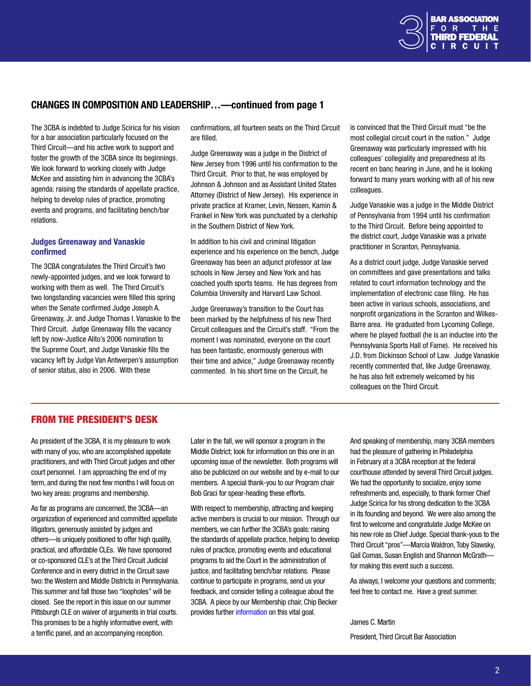

## Changes in composition and leadership…—continued from page 1

The 3CBA is indebted to Judge Scirica for his vision for a bar association particularly focused on the Third Circuit—and his active work to support and foster the growth of the 3CBA since its beginnings. We look forward to working closely with Judge McKee and assisting him in advancing the 3CBA's agenda: raising the standards of appellate practice, helping to develop rules of practice, promoting events and programs, and facilitating bench/bar relations.

#### Judges Greenaway and Vanaskie confirmed

The 3CBA congratulates the Third Circuit's two newly-appointed judges, and we look forward to working with them as well. The Third Circuit's two longstanding vacancies were filled this spring when the Senate confirmed Judge Joseph A. Greenaway, Jr. and Judge Thomas I. Vanaskie to the Third Circuit. Judge Greenaway fills the vacancy left by now-Justice Alito's 2006 nomination to the Supreme Court, and Judge Vanaskie fills the vacancy left by Judge Van Antwerpen's assumption of senior status, also in 2006. With these

confirmations, all fourteen seats on the Third Circuit are filled.

Judge Greenaway was a judge in the District of New Jersey from 1996 until his confirmation to the Third Circuit. Prior to that, he was employed by Johnson & Johnson and as Assistant United States Attorney (District of New Jersey). His experience in private practice at Kramer, Levin, Nessen, Kamin & Frankel in New York was punctuated by a clerkship in the Southern District of New York.

In addition to his civil and criminal litigation experience and his experience on the bench, Judge Greenaway has been an adjunct professor at law schools in New Jersey and New York and has coached youth sports teams. He has degrees from Columbia University and Harvard Law School.

Judge Greenaway's transition to the Court has been marked by the helpfulness of his new Third Circuit colleagues and the Circuit's staff. "From the moment I was nominated, everyone on the court has been fantastic, enormously generous with their time and advice," Judge Greenaway recently commented. In his short time on the Circuit, he

is convinced that the Third Circuit must "be the most collegial circuit court in the nation." Judge Greenaway was particularly impressed with his colleagues' collegiality and preparedness at its recent en banc hearing in June, and he is looking forward to many years working with all of his new colleagues.

Judge Vanaskie was a judge in the Middle District of Pennsylvania from 1994 until his confirmation to the Third Circuit. Before being appointed to the district court, Judge Vanaskie was a private practitioner in Scranton, Pennsylvania.

As a district court judge, Judge Vanaskie served on committees and gave presentations and talks related to court information technology and the implementation of electronic case filing. He has been active in various schools, associations, and nonprofit organizations in the Scranton and Wilkes-Barre area. He graduated from Lycoming College, where he played football (he is an inductee into the Pennsylvania Sports Hall of Fame). He received his J.D. from Dickinson School of Law. Judge Vanaskie recently commented that, like Judge Greenaway, he has also felt extremely welcomed by his colleagues on the Third Circuit.

## From the President's Desk

As president of the 3CBA, it is my pleasure to work with many of you, who are accomplished appellate practitioners, and with Third Circuit judges and other court personnel. I am approaching the end of my term, and during the next few months I will focus on two key areas: programs and membership.

As far as programs are concerned, the 3CBA—an organization of experienced and committed appellate litigators, generously assisted by judges and others—is uniquely positioned to offer high quality, practical, and affordable CLEs. We have sponsored or co-sponsored CLE's at the Third Circuit Judicial Conference and in every district in the Circuit save two: the Western and Middle Districts in Pennsylvania. This summer and fall those two "loopholes" will be closed. See the report in this issue on our summer Pittsburgh CLE on waiver of arguments in trial courts. This promises to be a highly informative event, with a terrific panel, and an accompanying reception.

Later in the fall, we will sponsor a program in the Middle District; look for information on this one in an upcoming issue of the newsletter. Both programs will also be publicized on our website and by e-mail to our members. A special thank-you to our Program chair Bob Graci for spear-heading these efforts.

With respect to membership, attracting and keeping active members is crucial to our mission. Through our members, we can further the 3CBA's goals: raising the standards of appellate practice, helping to develop rules of practice, promoting events and educational programs to aid the Court in the administration of justice, and facilitating bench/bar relations. Please continue to participate in programs, send us your feedback, and consider telling a colleague about the 3CBA. A piece by our Membership chair, Chip Becker provides further [information](#page-4-0) on this vital goal.

And speaking of membership, many 3CBA members had the pleasure of gathering in Philadelphia in February at a 3CBA reception at the federal courthouse attended by several Third Circuit judges. We had the opportunity to socialize, enjoy some refreshments and, especially, to thank former Chief Judge Scirica for his strong dedication to the 3CBA in its founding and beyond. We were also among the first to welcome and congratulate Judge McKee on his new role as Chief Judge. Special thank-yous to the Third Circuit "pros"—Marcia Waldron, Toby Slawsky, Gail Comas, Susan English and Shannon McGrath for making this event such a success.

As always, I welcome your questions and comments; feel free to contact me. Have a great summer.

James C. Martin President, Third Circuit Bar Association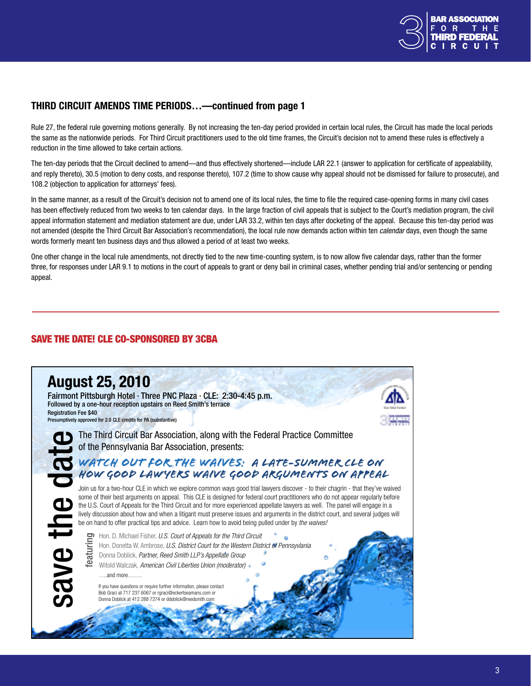

# <span id="page-2-0"></span>third circuit amends time periods…—continued from page 1

Rule 27, the federal rule governing motions generally. By not increasing the ten-day period provided in certain local rules, the Circuit has made the local periods the same as the nationwide periods. For Third Circuit practitioners used to the old time frames, the Circuit's decision not to amend these rules is effectively a reduction in the time allowed to take certain actions.

The ten-day periods that the Circuit declined to amend—and thus effectively shortened—include LAR 22.1 (answer to application for certificate of appealability, and reply thereto), 30.5 (motion to deny costs, and response thereto), 107.2 (time to show cause why appeal should not be dismissed for failure to prosecute), and 108.2 (objection to application for attorneys' fees).

In the same manner, as a result of the Circuit's decision not to amend one of its local rules, the time to file the required case-opening forms in many civil cases has been effectively reduced from two weeks to ten calendar days. In the large fraction of civil appeals that is subject to the Court's mediation program, the civil appeal information statement and mediation statement are due, under LAR 33.2, within ten days after docketing of the appeal. Because this ten-day period was not amended (despite the Third Circuit Bar Association's recommendation), the local rule now demands action within ten *calendar* days, even though the same words formerly meant ten business days and thus allowed a period of at least two weeks.

One other change in the local rule amendments, not directly tied to the new time-counting system, is to now allow five calendar days, rather than the former three, for responses under LAR 9.1 to motions in the court of appeals to grant or deny bail in criminal cases, whether pending trial and/or sentencing or pending appeal.

# Save the date! CLE Co-sponsored by 3cba

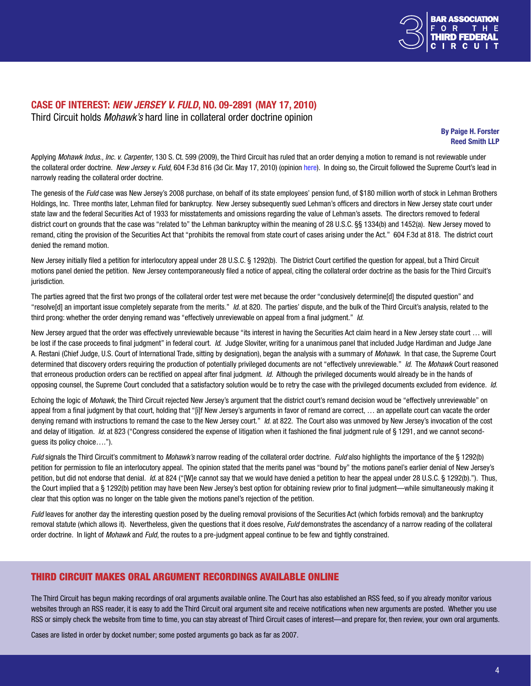

## Case of Interest: *New Jersey v. Fuld*, No. 09-2891 (May 17, 2010) Third Circuit holds *Mohawk's* hard line in collateral order doctrine opinion

By Paige H. Forster Reed Smith LLP

Applying *Mohawk Indus., Inc. v. Carpenter*, 130 S. Ct. 599 (2009), the Third Circuit has ruled that an order denying a motion to remand is not reviewable under the collateral order doctrine. *New Jersey v. Fuld*, 604 F.3d 816 (3d Cir. May 17, 2010) (opinion [here](http://www.ca3.uscourts.gov/opinarch/092891p.pdf)). In doing so, the Circuit followed the Supreme Court's lead in narrowly reading the collateral order doctrine.

The genesis of the *Fuld* case was New Jersey's 2008 purchase, on behalf of its state employees' pension fund, of \$180 million worth of stock in Lehman Brothers Holdings, Inc. Three months later, Lehman filed for bankruptcy. New Jersey subsequently sued Lehman's officers and directors in New Jersey state court under state law and the federal Securities Act of 1933 for misstatements and omissions regarding the value of Lehman's assets. The directors removed to federal district court on grounds that the case was "related to" the Lehman bankruptcy within the meaning of 28 U.S.C. §§ 1334(b) and 1452(a). New Jersey moved to remand, citing the provision of the Securities Act that "prohibits the removal from state court of cases arising under the Act." 604 F.3d at 818. The district court denied the remand motion.

New Jersey initially filed a petition for interlocutory appeal under 28 U.S.C. § 1292(b). The District Court certified the question for appeal, but a Third Circuit motions panel denied the petition. New Jersey contemporaneously filed a notice of appeal, citing the collateral order doctrine as the basis for the Third Circuit's jurisdiction.

The parties agreed that the first two prongs of the collateral order test were met because the order "conclusively determine[d] the disputed question" and "resolve[d] an important issue completely separate from the merits." *Id*. at 820. The parties' dispute, and the bulk of the Third Circuit's analysis, related to the third prong: whether the order denying remand was "effectively unreviewable on appeal from a final judgment." *Id*.

New Jersey argued that the order was effectively unreviewable because "its interest in having the Securities Act claim heard in a New Jersey state court … will be lost if the case proceeds to final judgment" in federal court. *Id*. Judge Sloviter, writing for a unanimous panel that included Judge Hardiman and Judge Jane A. Restani (Chief Judge, U.S. Court of International Trade, sitting by designation), began the analysis with a summary of *Mohawk*. In that case, the Supreme Court determined that discovery orders requiring the production of potentially privileged documents are not "effectively unreviewable." *Id*. The *Mohawk* Court reasoned that erroneous production orders can be rectified on appeal after final judgment. *Id*. Although the privileged documents would already be in the hands of opposing counsel, the Supreme Court concluded that a satisfactory solution would be to retry the case with the privileged documents excluded from evidence. *Id*.

Echoing the logic of *Mohawk*, the Third Circuit rejected New Jersey's argument that the district court's remand decision woud be "effectively unreviewable" on appeal from a final judgment by that court, holding that "[i]f New Jersey's arguments in favor of remand are correct, … an appellate court can vacate the order denying remand with instructions to remand the case to the New Jersey court." *Id*. at 822. The Court also was unmoved by New Jersey's invocation of the cost and delay of litigation. *Id*. at 823 ("Congress considered the expense of litigation when it fashioned the final judgment rule of § 1291, and we cannot secondguess its policy choice….").

*Fuld* signals the Third Circuit's commitment to *Mohawk's* narrow reading of the collateral order doctrine. *Fuld* also highlights the importance of the § 1292(b) petition for permission to file an interlocutory appeal. The opinion stated that the merits panel was "bound by" the motions panel's earlier denial of New Jersey's petition, but did not endorse that denial. *Id.* at 824 ("IWIe cannot say that we would have denied a petition to hear the appeal under 28 U.S.C. § 1292(b)."). Thus, the Court implied that a § 1292(b) petition may have been New Jersey's best option for obtaining review prior to final judgment—while simultaneously making it clear that this option was no longer on the table given the motions panel's rejection of the petition.

Fuld leaves for another day the interesting question posed by the dueling removal provisions of the Securities Act (which forbids removal) and the bankruptcy removal statute (which allows it). Nevertheless, given the questions that it does resolve, *Fuld* demonstrates the ascendancy of a narrow reading of the collateral order doctrine. In light of *Mohawk* and *Fuld*, the routes to a pre-judgment appeal continue to be few and tightly constrained.

## Third Circuit makes oral argument recordings available online

The Third Circuit has begun making recordings of oral arguments available [online](http://www.ca3.uscourts.gov/oralargument/oralarg.htm). The Court has also established an RSS feed, so if you already monitor various websites through an RSS reader, it is easy to add the Third Circuit oral argument site and receive notifications when new arguments are posted. Whether you use RSS or simply check the website from time to time, you can stay abreast of Third Circuit cases of interest—and prepare for, then review, your own oral arguments.

Cases are listed in order by docket number; some posted arguments go back as far as 2007.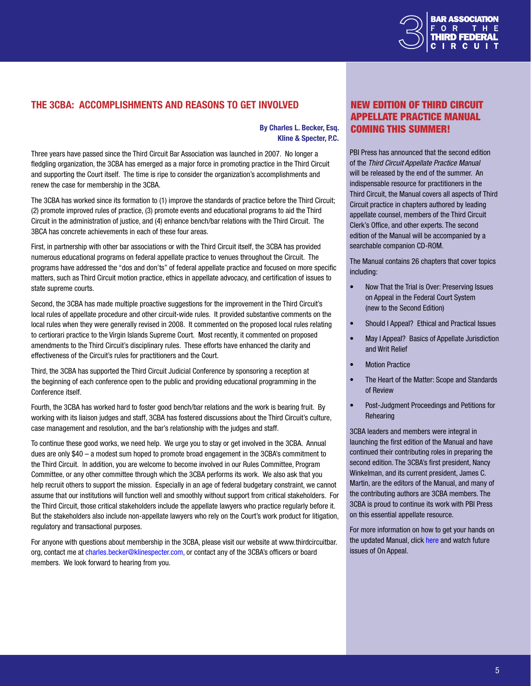

# <span id="page-4-0"></span>The 3CBA: accomplishments and reasons to get involved

#### By Charles L. Becker, Esq. Kline & Specter, P.C.

Three years have passed since the Third Circuit Bar Association was launched in 2007. No longer a fledgling organization, the 3CBA has emerged as a major force in promoting practice in the Third Circuit and supporting the Court itself. The time is ripe to consider the organization's accomplishments and renew the case for membership in the 3CBA.

The 3CBA has worked since its formation to (1) improve the standards of practice before the Third Circuit; (2) promote improved rules of practice, (3) promote events and educational programs to aid the Third Circuit in the administration of justice, and (4) enhance bench/bar relations with the Third Circuit. The 3BCA has concrete achievements in each of these four areas.

First, in partnership with other bar associations or with the Third Circuit itself, the 3CBA has provided numerous educational programs on federal appellate practice to venues throughout the Circuit. The programs have addressed the "dos and don'ts" of federal appellate practice and focused on more specific matters, such as Third Circuit motion practice, ethics in appellate advocacy, and certification of issues to state supreme courts.

Second, the 3CBA has made multiple proactive suggestions for the improvement in the Third Circuit's local rules of appellate procedure and other circuit-wide rules. It provided substantive comments on the local rules when they were generally revised in 2008. It commented on the proposed local rules relating to certiorari practice to the Virgin Islands Supreme Court. Most recently, it commented on proposed amendments to the Third Circuit's disciplinary rules. These efforts have enhanced the clarity and effectiveness of the Circuit's rules for practitioners and the Court.

Third, the 3CBA has supported the Third Circuit Judicial Conference by sponsoring a reception at the beginning of each conference open to the public and providing educational programming in the Conference itself.

Fourth, the 3CBA has worked hard to foster good bench/bar relations and the work is bearing fruit. By working with its liaison judges and staff, 3CBA has fostered discussions about the Third Circuit's culture, case management and resolution, and the bar's relationship with the judges and staff.

To continue these good works, we need help. We urge you to stay or get involved in the 3CBA. Annual dues are only \$40 – a modest sum hoped to promote broad engagement in the 3CBA's commitment to the Third Circuit. In addition, you are welcome to become involved in our Rules Committee, Program Committee, or any other committee through which the 3CBA performs its work. We also ask that you help recruit others to support the mission. Especially in an age of federal budgetary constraint, we cannot assume that our institutions will function well and smoothly without support from critical stakeholders. For the Third Circuit, those critical stakeholders include the appellate lawyers who practice regularly before it. But the stakeholders also include non-appellate lawyers who rely on the Court's work product for litigation, regulatory and transactional purposes.

For anyone with questions about membership in the 3CBA, please visit our website at [www.thirdcircuitbar.](link to http://www.ca3.uscourts.gov/oralargument/oralarg.htm) [org,](link to http://www.ca3.uscourts.gov/oralargument/oralarg.htm) contact me at [charles.becker@klinespecter.com](mailto:charles.becker%40klinespecter.com?subject=3CBA%20), or contact any of the 3CBA's officers or board members. We look forward to hearing from you.

# New Edition of Third Circuit Appellate Practice Manual Coming This Summer!

PBI Press has announced that the second edition of the *Third Circuit Appellate Practice Manual*  will be released by the end of the summer. An indispensable resource for practitioners in the Third Circuit, the Manual covers all aspects of Third Circuit practice in chapters authored by leading appellate counsel, members of the Third Circuit Clerk's Office, and other experts. The second edition of the Manual will be accompanied by a searchable companion CD-ROM.

The Manual contains 26 chapters that cover topics including:

- Now That the Trial is Over: Preserving Issues on Appeal in the Federal Court System (new to the Second Edition)
- Should I Appeal? Ethical and Practical Issues
- May I Appeal? Basics of Appellate Jurisdiction and Writ Relief
- Motion Practice
- The Heart of the Matter: Scope and Standards of Review
- Post-Judgment Proceedings and Petitions for **Rehearing**

3CBA leaders and members were integral in launching the first edition of the Manual and have continued their contributing roles in preparing the second edition. The 3CBA's first president, Nancy Winkelman, and its current president, James C. Martin, are the editors of the Manual, and many of the contributing authors are 3CBA members. The 3CBA is proud to continue its work with PBI Press on this essential appellate resource.

For more information on how to get your hands on the updated Manual, click [here](http://www.pbi.org/publications/pbipress.html) and watch future issues of On Appeal.